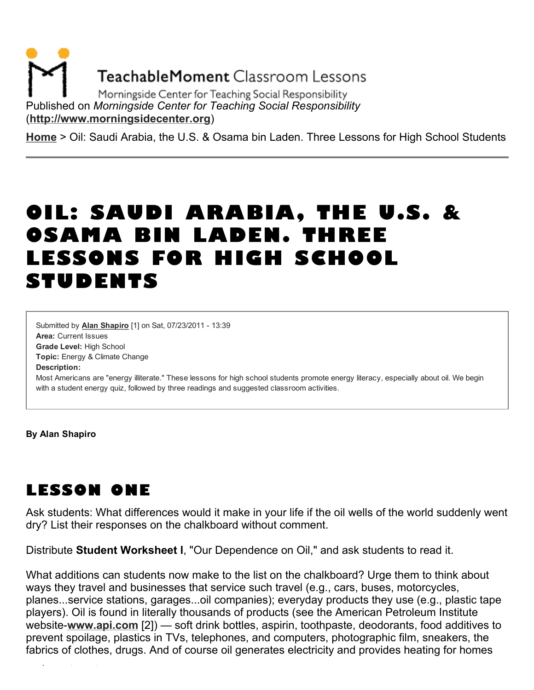# **TeachableMoment Classroom Lessons**

Morningside Center for Teaching Social Responsibility Published on *Morningside Center for Teaching Social Responsibility* [\(http://www.morningsidecenter.org\)](http://www.morningsidecenter.org/)

[Home](http://www.morningsidecenter.org/) > Oil: Saudi Arabia, the U.S. & Osama bin Laden. Three Lessons for High School Students

# OIL: SAUDI ARABIA, THE U.S. & OSAMA BIN LADEN. THREE LESSONS FOR HIGH SCHOOL STUDENTS

Area: Current Issues Grade Level: High School Topic: Energy & Climate Change Submitted by **Alan [Shapiro](http://www.morningsidecenter.org/users/alan-shapiro)** [1] on Sat, 07/23/2011 - 13:39 Description: Most Americans are "energy illiterate." These lessons for high school students promote energy literacy, especially about oil. We begin with a student energy quiz, followed by three readings and suggested classroom activities.

By Alan Shapiro

and apartments.

## LESSON ONE

Ask students: What differences would it make in your life if the oil wells of the world suddenly went dry? List their responses on the chalkboard without comment.

Distribute Student Worksheet l, "Our Dependence on Oil," and ask students to read it.

What additions can students now make to the list on the chalkboard? Urge them to think about ways they travel and businesses that service such travel (e.g., cars, buses, motorcycles, planes...service stations, garages...oil companies); everyday products they use (e.g., plastic tape players). Oil is found in literally thousands of products (see the American Petroleum Institute website[-www.api.com](http://www.api.com/) [2]) — soft drink bottles, aspirin, toothpaste, deodorants, food additives to prevent spoilage, plastics in TVs, telephones, and computers, photographic film, sneakers, the fabrics of clothes, drugs. And of course oil generates electricity and provides heating for homes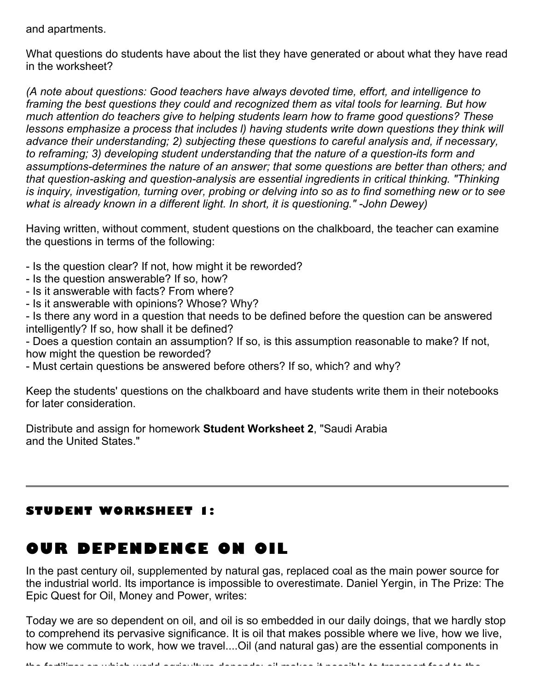and apartments.

What questions do students have about the list they have generated or about what they have read in the worksheet?

*(A note about questions: Good teachers have always devoted time, effort, and intelligence to framing the best questions they could and recognized them as vital tools for learning. But how much attention do teachers give to helping students learn how to frame good questions? These lessons emphasize a process that includes l) having students write down questions they think will advance their understanding; 2) subjecting these questions to careful analysis and, if necessary, to reframing; 3) developing student understanding that the nature of a question-its form and assumptions-determines the nature of an answer; that some questions are better than others; and that question-asking and question-analysis are essential ingredients in critical thinking. "Thinking* is inquiry, investigation, turning over, probing or delving into so as to find something new or to see *what is already known in a different light. In short, it is questioning." -John Dewey)*

Having written, without comment, student questions on the chalkboard, the teacher can examine the questions in terms of the following:

- Is the question clear? If not, how might it be reworded?
- Is the question answerable? If so, how?
- Is it answerable with facts? From where?
- Is it answerable with opinions? Whose? Why?

- Is there any word in a question that needs to be defined before the question can be answered intelligently? If so, how shall it be defined?

- Does a question contain an assumption? If so, is this assumption reasonable to make? If not, how might the question be reworded?

- Must certain questions be answered before others? If so, which? and why?

Keep the students' questions on the chalkboard and have students write them in their notebooks for later consideration.

Distribute and assign for homework Student Worksheet 2, "Saudi Arabia and the United States."

#### STUDENT WORKSHEET 1:

## OUR DEPENDENCE ON OIL

In the past century oil, supplemented by natural gas, replaced coal as the main power source for the industrial world. Its importance is impossible to overestimate. Daniel Yergin, in The Prize: The Epic Quest for Oil, Money and Power, writes:

Today we are so dependent on oil, and oil is so embedded in our daily doings, that we hardly stop to comprehend its pervasive significance. It is oil that makes possible where we live, how we live, how we commute to work, how we travel....Oil (and natural gas) are the essential components in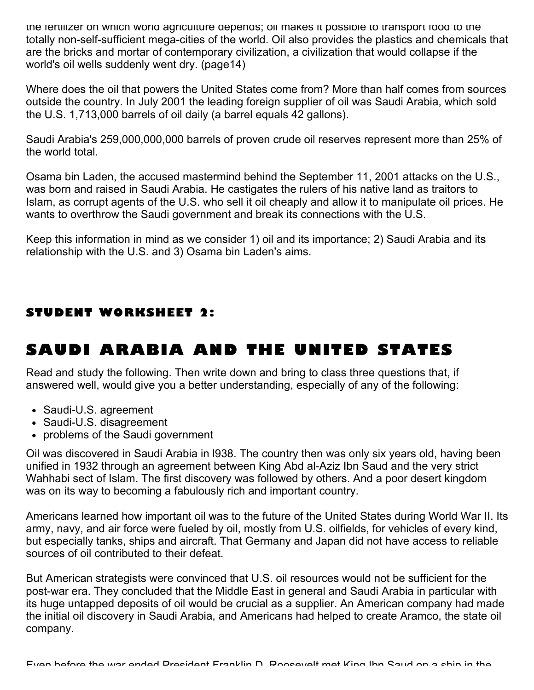the fertilizer on which world agriculture depends; oil makes it possible to transport food to the totally non-self-sufficient mega-cities of the world. Oil also provides the plastics and chemicals that are the bricks and mortar of contemporary civilization, a civilization that would collapse if the world's oil wells suddenly went dry. (page14)

Where does the oil that powers the United States come from? More than half comes from sources outside the country. In July 2001 the leading foreign supplier of oil was Saudi Arabia, which sold the U.S. 1,713,000 barrels of oil daily (a barrel equals 42 gallons).

Saudi Arabia's 259,000,000,000 barrels of proven crude oil reserves represent more than 25% of the world total.

Osama bin Laden, the accused mastermind behind the September 11, 2001 attacks on the U.S., was born and raised in Saudi Arabia. He castigates the rulers of his native land as traitors to Islam, as corrupt agents of the U.S. who sell it oil cheaply and allow it to manipulate oil prices. He wants to overthrow the Saudi government and break its connections with the U.S.

Keep this information in mind as we consider 1) oil and its importance; 2) Saudi Arabia and its relationship with the U.S. and 3) Osama bin Laden's aims.

### STUDENT WORKSHEET 2:

## SAUDI ARABIA AND THE UNITED STATES

Read and study the following. Then write down and bring to class three questions that, if answered well, would give you a better understanding, especially of any of the following:

- Saudi-U.S. agreement
- Saudi-U.S. disagreement
- problems of the Saudi government

Oil was discovered in Saudi Arabia in l938. The country then was only six years old, having been unified in 1932 through an agreement between King Abd al-Aziz Ibn Saud and the very strict Wahhabi sect of Islam. The first discovery was followed by others. And a poor desert kingdom was on its way to becoming a fabulously rich and important country.

Americans learned how important oil was to the future of the United States during World War II. Its army, navy, and air force were fueled by oil, mostly from U.S. oilfields, for vehicles of every kind, but especially tanks, ships and aircraft. That Germany and Japan did not have access to reliable sources of oil contributed to their defeat.

But American strategists were convinced that U.S. oil resources would not be sufficient for the post-war era. They concluded that the Middle East in general and Saudi Arabia in particular with its huge untapped deposits of oil would be crucial as a supplier. An American company had made the initial oil discovery in Saudi Arabia, and Americans had helped to create Aramco, the state oil company.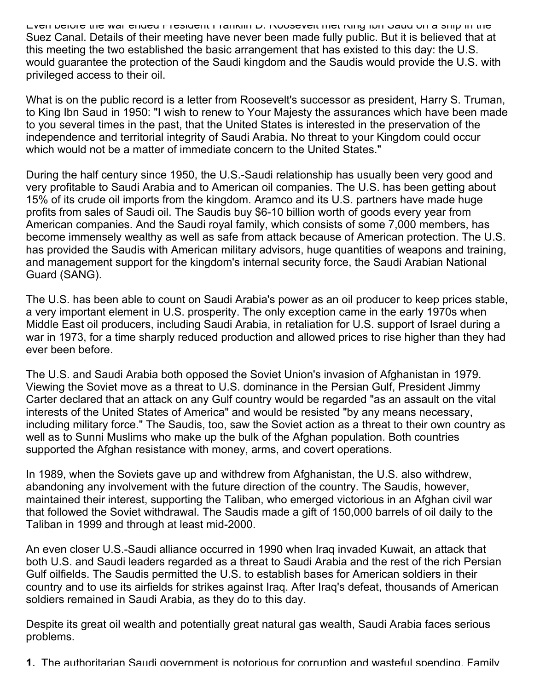Even before the war ended President Franklin D. Roosevelt met King Ibn Saud on a ship in the Suez Canal. Details of their meeting have never been made fully public. But it is believed that at this meeting the two established the basic arrangement that has existed to this day: the U.S. would guarantee the protection of the Saudi kingdom and the Saudis would provide the U.S. with privileged access to their oil.

What is on the public record is a letter from Roosevelt's successor as president, Harry S. Truman, to King Ibn Saud in 1950: "I wish to renew to Your Majesty the assurances which have been made to you several times in the past, that the United States is interested in the preservation of the independence and territorial integrity of Saudi Arabia. No threat to your Kingdom could occur which would not be a matter of immediate concern to the United States."

During the half century since 1950, the U.S.-Saudi relationship has usually been very good and very profitable to Saudi Arabia and to American oil companies. The U.S. has been getting about 15% of its crude oil imports from the kingdom. Aramco and its U.S. partners have made huge profits from sales of Saudi oil. The Saudis buy \$6-10 billion worth of goods every year from American companies. And the Saudi royal family, which consists of some 7,000 members, has become immensely wealthy as well as safe from attack because of American protection. The U.S. has provided the Saudis with American military advisors, huge quantities of weapons and training, and management support for the kingdom's internal security force, the Saudi Arabian National Guard (SANG).

The U.S. has been able to count on Saudi Arabia's power as an oil producer to keep prices stable, a very important element in U.S. prosperity. The only exception came in the early 1970s when Middle East oil producers, including Saudi Arabia, in retaliation for U.S. support of Israel during a war in 1973, for a time sharply reduced production and allowed prices to rise higher than they had ever been before.

The U.S. and Saudi Arabia both opposed the Soviet Union's invasion of Afghanistan in 1979. Viewing the Soviet move as a threat to U.S. dominance in the Persian Gulf, President Jimmy Carter declared that an attack on any Gulf country would be regarded "as an assault on the vital interests of the United States of America" and would be resisted "by any means necessary, including military force." The Saudis, too, saw the Soviet action as a threat to their own country as well as to Sunni Muslims who make up the bulk of the Afghan population. Both countries supported the Afghan resistance with money, arms, and covert operations.

In 1989, when the Soviets gave up and withdrew from Afghanistan, the U.S. also withdrew, abandoning any involvement with the future direction of the country. The Saudis, however, maintained their interest, supporting the Taliban, who emerged victorious in an Afghan civil war that followed the Soviet withdrawal. The Saudis made a gift of 150,000 barrels of oil daily to the Taliban in 1999 and through at least mid-2000.

An even closer U.S.-Saudi alliance occurred in 1990 when Iraq invaded Kuwait, an attack that both U.S. and Saudi leaders regarded as a threat to Saudi Arabia and the rest of the rich Persian Gulf oilfields. The Saudis permitted the U.S. to establish bases for American soldiers in their country and to use its airfields for strikes against Iraq. After Iraq's defeat, thousands of American soldiers remained in Saudi Arabia, as they do to this day.

Despite its great oil wealth and potentially great natural gas wealth, Saudi Arabia faces serious problems.

1. The authoritarian Saudi government is notorious for corruption and wasteful spending. Family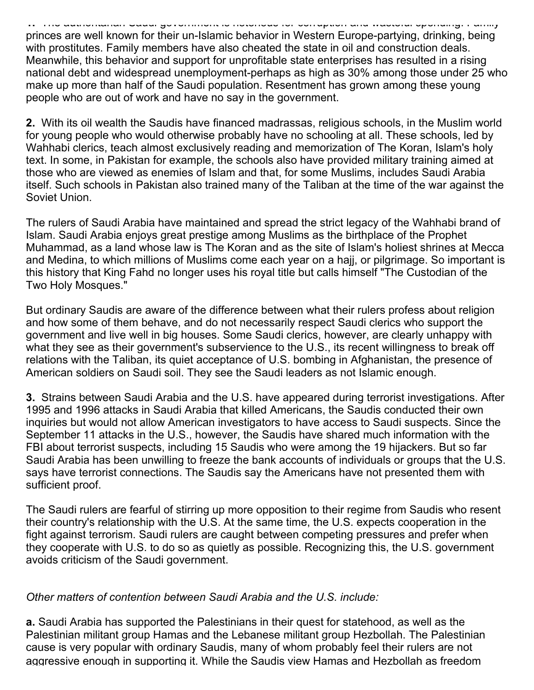1. The authoritarian Saudi government is notorious for corruption and wasteful spending. Family princes are well known for their un-Islamic behavior in Western Europe-partying, drinking, being with prostitutes. Family members have also cheated the state in oil and construction deals. Meanwhile, this behavior and support for unprofitable state enterprises has resulted in a rising national debt and widespread unemployment-perhaps as high as 30% among those under 25 who make up more than half of the Saudi population. Resentment has grown among these young people who are out of work and have no say in the government.

2. With its oil wealth the Saudis have financed madrassas, religious schools, in the Muslim world for young people who would otherwise probably have no schooling at all. These schools, led by Wahhabi clerics, teach almost exclusively reading and memorization of The Koran, Islam's holy text. In some, in Pakistan for example, the schools also have provided military training aimed at those who are viewed as enemies of Islam and that, for some Muslims, includes Saudi Arabia itself. Such schools in Pakistan also trained many of the Taliban at the time of the war against the Soviet Union.

The rulers of Saudi Arabia have maintained and spread the strict legacy of the Wahhabi brand of Islam. Saudi Arabia enjoys great prestige among Muslims as the birthplace of the Prophet Muhammad, as a land whose law is The Koran and as the site of Islam's holiest shrines at Mecca and Medina, to which millions of Muslims come each year on a hajj, or pilgrimage. So important is this history that King Fahd no longer uses his royal title but calls himself "The Custodian of the Two Holy Mosques."

But ordinary Saudis are aware of the difference between what their rulers profess about religion and how some of them behave, and do not necessarily respect Saudi clerics who support the government and live well in big houses. Some Saudi clerics, however, are clearly unhappy with what they see as their government's subservience to the U.S., its recent willingness to break off relations with the Taliban, its quiet acceptance of U.S. bombing in Afghanistan, the presence of American soldiers on Saudi soil. They see the Saudi leaders as not Islamic enough.

3. Strains between Saudi Arabia and the U.S. have appeared during terrorist investigations. After 1995 and 1996 attacks in Saudi Arabia that killed Americans, the Saudis conducted their own inquiries but would not allow American investigators to have access to Saudi suspects. Since the September 11 attacks in the U.S., however, the Saudis have shared much information with the FBI about terrorist suspects, including 15 Saudis who were among the 19 hijackers. But so far Saudi Arabia has been unwilling to freeze the bank accounts of individuals or groups that the U.S. says have terrorist connections. The Saudis say the Americans have not presented them with sufficient proof.

The Saudi rulers are fearful of stirring up more opposition to their regime from Saudis who resent their country's relationship with the U.S. At the same time, the U.S. expects cooperation in the fight against terrorism. Saudi rulers are caught between competing pressures and prefer when they cooperate with U.S. to do so as quietly as possible. Recognizing this, the U.S. government avoids criticism of the Saudi government.

#### *Other matters of contention between Saudi Arabia and the U.S. include:*

a. Saudi Arabia has supported the Palestinians in their quest for statehood, as well as the Palestinian militant group Hamas and the Lebanese militant group Hezbollah. The Palestinian cause is very popular with ordinary Saudis, many of whom probably feel their rulers are not aggressive enough in supporting it. While the Saudis view Hamas and Hezbollah as freedom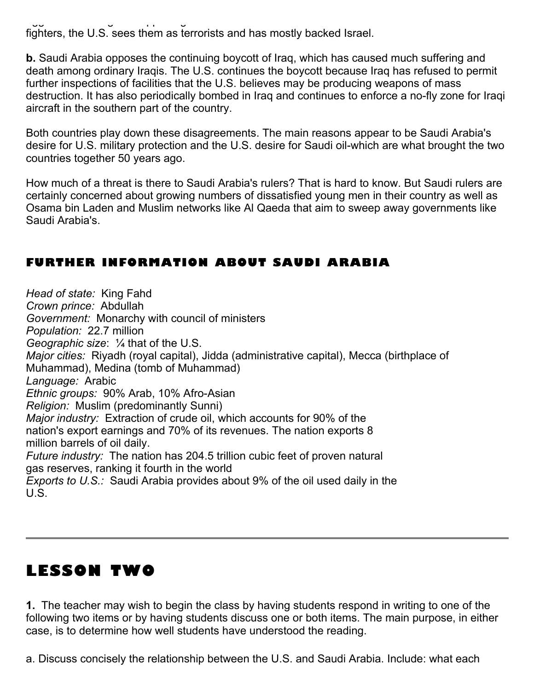aggressive enough in supporting it. While the Saudis view Hamas and Hezbollah as freedom fighters, the U.S. sees them as terrorists and has mostly backed Israel.

b. Saudi Arabia opposes the continuing boycott of Iraq, which has caused much suffering and death among ordinary Iraqis. The U.S. continues the boycott because Iraq has refused to permit further inspections of facilities that the U.S. believes may be producing weapons of mass destruction. It has also periodically bombed in Iraq and continues to enforce a no-fly zone for Iraqi aircraft in the southern part of the country.

Both countries play down these disagreements. The main reasons appear to be Saudi Arabia's desire for U.S. military protection and the U.S. desire for Saudi oil-which are what brought the two countries together 50 years ago.

How much of a threat is there to Saudi Arabia's rulers? That is hard to know. But Saudi rulers are certainly concerned about growing numbers of dissatisfied young men in their country as well as Osama bin Laden and Muslim networks like Al Qaeda that aim to sweep away governments like Saudi Arabia's.

### FURTHER INFORMATION ABOUT SAUDI ARABIA

*Head of state:* King Fahd *Crown prince:* Abdullah *Government:* Monarchy with council of ministers *Population:* 22.7 million *Geographic size*: ¼ that of the U.S. *Major cities:* Riyadh (royal capital), Jidda (administrative capital), Mecca (birthplace of Muhammad), Medina (tomb of Muhammad) *Language:* Arabic *Ethnic groups:* 90% Arab, 10% Afro-Asian *Religion:* Muslim (predominantly Sunni) *Major industry:* Extraction of crude oil, which accounts for 90% of the nation's export earnings and 70% of its revenues. The nation exports 8 million barrels of oil daily. *Future industry:* The nation has 204.5 trillion cubic feet of proven natural gas reserves, ranking it fourth in the world *Exports to U.S.:* Saudi Arabia provides about 9% of the oil used daily in the U.S.

## LESSON TWO

1. The teacher may wish to begin the class by having students respond in writing to one of the following two items or by having students discuss one or both items. The main purpose, in either case, is to determine how well students have understood the reading.

a. Discuss concisely the relationship between the U.S. and Saudi Arabia. Include: what each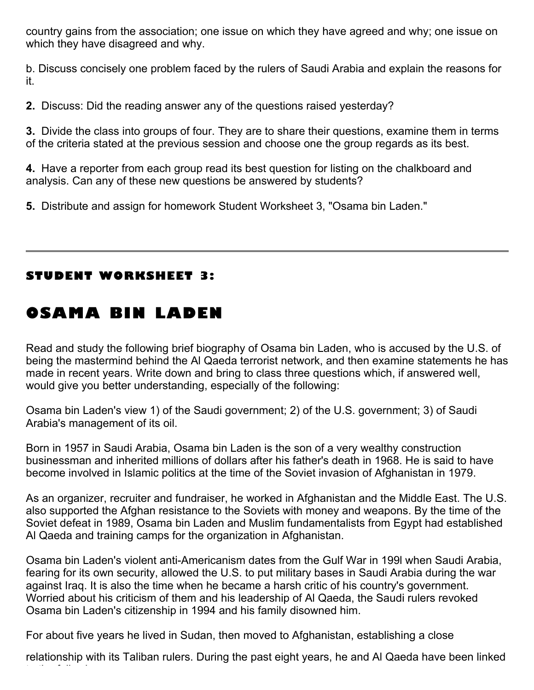country gains from the association; one issue on which they have agreed and why; one issue on which they have disagreed and why.

b. Discuss concisely one problem faced by the rulers of Saudi Arabia and explain the reasons for it.

2. Discuss: Did the reading answer any of the questions raised yesterday?

3. Divide the class into groups of four. They are to share their questions, examine them in terms of the criteria stated at the previous session and choose one the group regards as its best.

4. Have a reporter from each group read its best question for listing on the chalkboard and analysis. Can any of these new questions be answered by students?

5. Distribute and assign for homework Student Worksheet 3, "Osama bin Laden."

#### STUDENT WORKSHEET 3:

# OSAMA BIN LADEN

Read and study the following brief biography of Osama bin Laden, who is accused by the U.S. of being the mastermind behind the Al Qaeda terrorist network, and then examine statements he has made in recent years. Write down and bring to class three questions which, if answered well, would give you better understanding, especially of the following:

Osama bin Laden's view 1) of the Saudi government; 2) of the U.S. government; 3) of Saudi Arabia's management of its oil.

Born in 1957 in Saudi Arabia, Osama bin Laden is the son of a very wealthy construction businessman and inherited millions of dollars after his father's death in 1968. He is said to have become involved in Islamic politics at the time of the Soviet invasion of Afghanistan in 1979.

As an organizer, recruiter and fundraiser, he worked in Afghanistan and the Middle East. The U.S. also supported the Afghan resistance to the Soviets with money and weapons. By the time of the Soviet defeat in 1989, Osama bin Laden and Muslim fundamentalists from Egypt had established Al Qaeda and training camps for the organization in Afghanistan.

Osama bin Laden's violent anti-Americanism dates from the Gulf War in 199l when Saudi Arabia, fearing for its own security, allowed the U.S. to put military bases in Saudi Arabia during the war against Iraq. It is also the time when he became a harsh critic of his country's government. Worried about his criticism of them and his leadership of Al Qaeda, the Saudi rulers revoked Osama bin Laden's citizenship in 1994 and his family disowned him.

For about five years he lived in Sudan, then moved to Afghanistan, establishing a close

relationship with its Taliban rulers. During the past eight years, he and Al Qaeda have been linked to the following: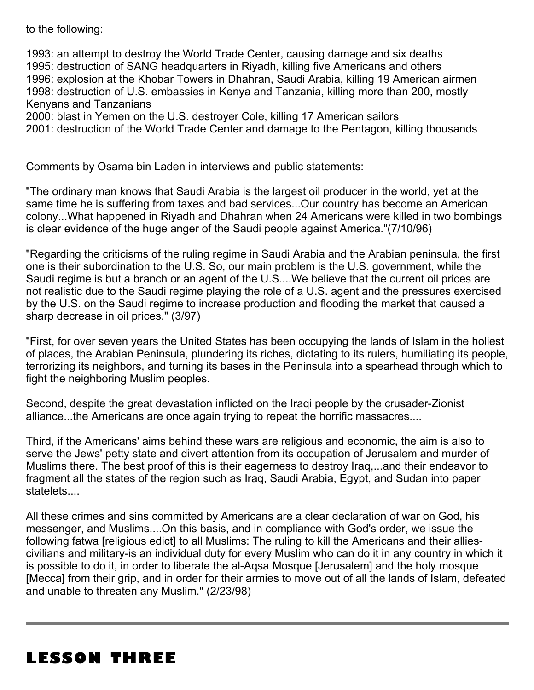to the following:

1993: an attempt to destroy the World Trade Center, causing damage and six deaths 1995: destruction of SANG headquarters in Riyadh, killing five Americans and others 1996: explosion at the Khobar Towers in Dhahran, Saudi Arabia, killing 19 American airmen 1998: destruction of U.S. embassies in Kenya and Tanzania, killing more than 200, mostly Kenyans and Tanzanians

2000: blast in Yemen on the U.S. destroyer Cole, killing 17 American sailors 2001: destruction of the World Trade Center and damage to the Pentagon, killing thousands

Comments by Osama bin Laden in interviews and public statements:

"The ordinary man knows that Saudi Arabia is the largest oil producer in the world, yet at the same time he is suffering from taxes and bad services...Our country has become an American colony...What happened in Riyadh and Dhahran when 24 Americans were killed in two bombings is clear evidence of the huge anger of the Saudi people against America."(7/10/96)

"Regarding the criticisms of the ruling regime in Saudi Arabia and the Arabian peninsula, the first one is their subordination to the U.S. So, our main problem is the U.S. government, while the Saudi regime is but a branch or an agent of the U.S....We believe that the current oil prices are not realistic due to the Saudi regime playing the role of a U.S. agent and the pressures exercised by the U.S. on the Saudi regime to increase production and flooding the market that caused a sharp decrease in oil prices." (3/97)

"First, for over seven years the United States has been occupying the lands of Islam in the holiest of places, the Arabian Peninsula, plundering its riches, dictating to its rulers, humiliating its people, terrorizing its neighbors, and turning its bases in the Peninsula into a spearhead through which to fight the neighboring Muslim peoples.

Second, despite the great devastation inflicted on the Iraqi people by the crusader-Zionist alliance...the Americans are once again trying to repeat the horrific massacres....

Third, if the Americans' aims behind these wars are religious and economic, the aim is also to serve the Jews' petty state and divert attention from its occupation of Jerusalem and murder of Muslims there. The best proof of this is their eagerness to destroy Iraq,...and their endeavor to fragment all the states of the region such as Iraq, Saudi Arabia, Egypt, and Sudan into paper statelets....

All these crimes and sins committed by Americans are a clear declaration of war on God, his messenger, and Muslims....On this basis, and in compliance with God's order, we issue the following fatwa [religious edict] to all Muslims: The ruling to kill the Americans and their alliescivilians and military-is an individual duty for every Muslim who can do it in any country in which it is possible to do it, in order to liberate the al-Aqsa Mosque [Jerusalem] and the holy mosque [Mecca] from their grip, and in order for their armies to move out of all the lands of Islam, defeated and unable to threaten any Muslim." (2/23/98)

## LESSON THREE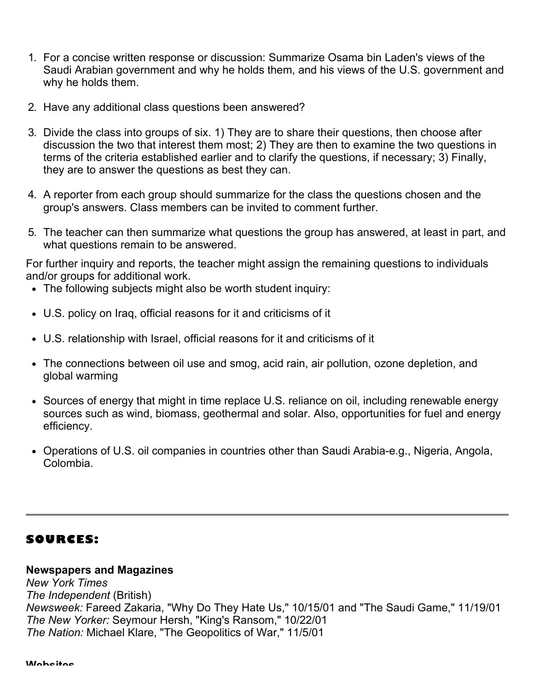- 1. For a concise written response or discussion: Summarize Osama bin Laden's views of the Saudi Arabian government and why he holds them, and his views of the U.S. government and why he holds them.
- 2. Have any additional class questions been answered?
- 3. Divide the class into groups of six. 1) They are to share their questions, then choose after discussion the two that interest them most; 2) They are then to examine the two questions in terms of the criteria established earlier and to clarify the questions, if necessary; 3) Finally, they are to answer the questions as best they can.
- 4. A reporter from each group should summarize for the class the questions chosen and the group's answers. Class members can be invited to comment further.
- 5. The teacher can then summarize what questions the group has answered, at least in part, and what questions remain to be answered.

For further inquiry and reports, the teacher might assign the remaining questions to individuals and/or groups for additional work.

- The following subjects might also be worth student inquiry:
- U.S. policy on Iraq, official reasons for it and criticisms of it
- U.S. relationship with Israel, official reasons for it and criticisms of it
- The connections between oil use and smog, acid rain, air pollution, ozone depletion, and global warming
- Sources of energy that might in time replace U.S. reliance on oil, including renewable energy sources such as wind, biomass, geothermal and solar. Also, opportunities for fuel and energy efficiency.
- Operations of U.S. oil companies in countries other than Saudi Arabia-e.g., Nigeria, Angola, Colombia.

#### SOURCES:

#### Newspapers and Magazines

*New York Times The Independent* (British) *Newsweek:* Fareed Zakaria, "Why Do They Hate Us," 10/15/01 and "The Saudi Game," 11/19/01 *The New Yorker:* Seymour Hersh, "King's Ransom," 10/22/01 *The Nation:* Michael Klare, "The Geopolitics of War," 11/5/01